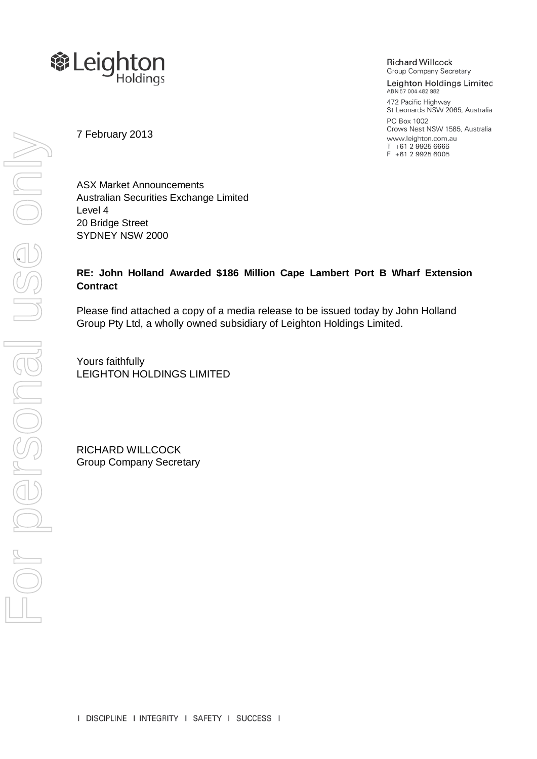

**Richard Willcock Group Company Secretary** 

Leighton Holdings Limited ABN 57 004 482 982 472 Pacific Highway St Leonards NSW 2065, Australia PO Box 1002 Crows Nest NSW 1585, Australia www.leighton.com.au T +61 2 9925 6666 F +61 2 9925 6005

7 February 2013

ASX Market Announcements Australian Securities Exchange Limited Level 4 20 Bridge Street SYDNEY NSW 2000

## **RE: John Holland Awarded \$186 Million Cape Lambert Port B Wharf Extension Contract**

Please find attached a copy of a media release to be issued today by John Holland Group Pty Ltd, a wholly owned subsidiary of Leighton Holdings Limited.

Yours faithfully LEIGHTON HOLDINGS LIMITED

RICHARD WILLCOCK Group Company Secretary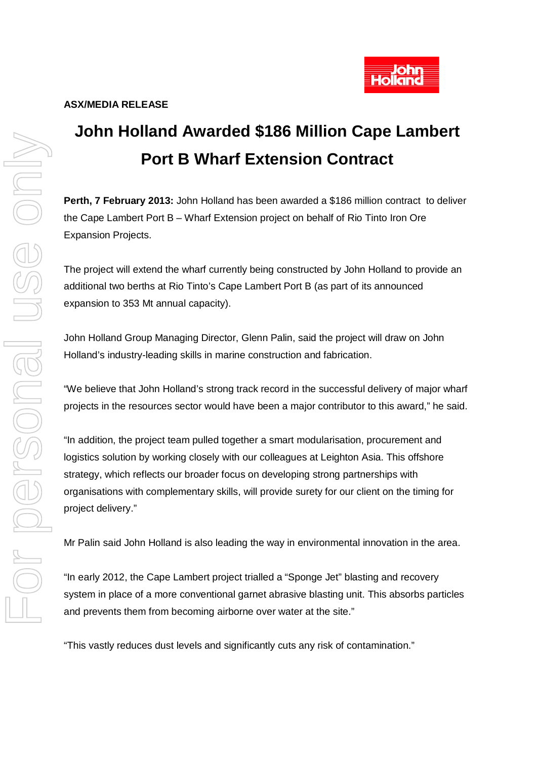

## **John Holland Awarded \$186 Million Cape Lambert Port B Wharf Extension Contract**

**Perth, 7 February 2013:** John Holland has been awarded a \$186 million contract to deliver the Cape Lambert Port B – Wharf Extension project on behalf of Rio Tinto Iron Ore Expansion Projects.

The project will extend the wharf currently being constructed by John Holland to provide an additional two berths at Rio Tinto's Cape Lambert Port B (as part of its announced expansion to 353 Mt annual capacity).

John Holland Group Managing Director, Glenn Palin, said the project will draw on John Holland's industry-leading skills in marine construction and fabrication.

"We believe that John Holland's strong track record in the successful delivery of major wharf projects in the resources sector would have been a major contributor to this award," he said.

"In addition, the project team pulled together a smart modularisation, procurement and logistics solution by working closely with our colleagues at Leighton Asia. This offshore strategy, which reflects our broader focus on developing strong partnerships with organisations with complementary skills, will provide surety for our client on the timing for project delivery."

Mr Palin said John Holland is also leading the way in environmental innovation in the area.

"In early 2012, the Cape Lambert project trialled a "Sponge Jet" blasting and recovery system in place of a more conventional garnet abrasive blasting unit. This absorbs particles and prevents them from becoming airborne over water at the site."

"This vastly reduces dust levels and significantly cuts any risk of contamination."